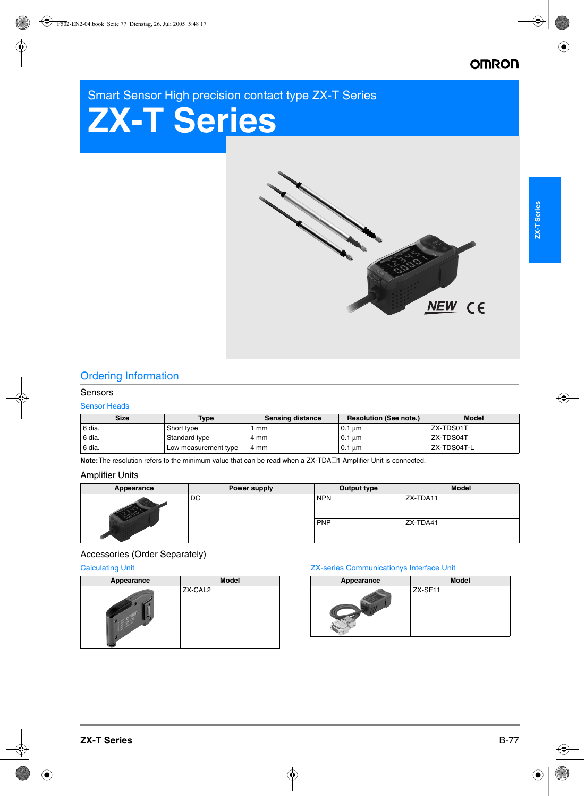# **OMRON**

Smart Sensor High precision contact type ZX-T Series

# **ZX-T Series**



### Ordering Information

### Sensors

### Sensor Heads

| <b>Size</b> | Type                 | <b>Sensing distance</b> | <b>Resolution (See note.)</b> | <b>Model</b> |
|-------------|----------------------|-------------------------|-------------------------------|--------------|
| 6 dia.      | Short type           | mm                      | $0.1 \text{ }\mu\text{m}$     | ZX-TDS01T    |
| 6 dia.      | Standard type        | 4 mm                    | $0.1 \mu m$                   | ZX-TDS04T    |
| 6 dia.      | Low measurement type | 4 mm                    | $0.1 \text{ um}$              | ZX-TDS04T-L  |

Note: The resolution refers to the minimum value that can be read when a ZX-TDA<sup> $\Box$ 1 Amplifier Unit is connected.</sup>

### Amplifier Units

| Appearance | Power supply | Output type | <b>Model</b> |
|------------|--------------|-------------|--------------|
|            | DC           | <b>NPN</b>  | ZX-TDA11     |
|            |              | <b>PNP</b>  | ZX-TDA41     |

### Accessories (Order Separately)

| Appearance | <b>Model</b> |
|------------|--------------|
|            | ZX-CAL2      |

### Calculating Unit ZX-series Communicationys Interface Unit

| Appearance | <b>Model</b> |
|------------|--------------|
|            | ZX-SF11      |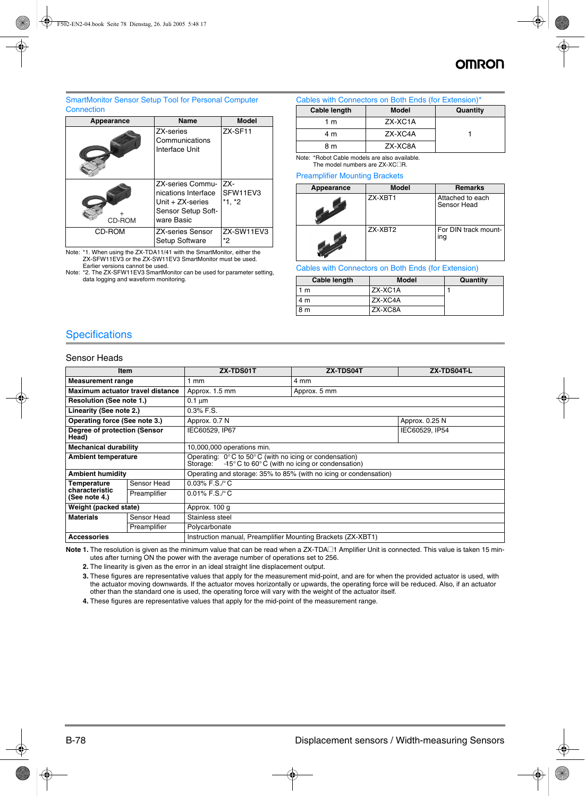### SmartMonitor Sensor Setup Tool for Personal Computer Connection

| Appearance | Name                                                                                            | <b>Model</b>              |
|------------|-------------------------------------------------------------------------------------------------|---------------------------|
|            | ZX-series<br>Communications<br>Interface Unit                                                   | ZX-SF11                   |
| CD-ROM     | ZX-series Commu-<br>nications Interface<br>Unit + ZX-series<br>Sensor Setup Soft-<br>ware Basic | ZX-<br>SFW11EV3<br>*1. *2 |
| CD-ROM     | <b>ZX-series Sensor</b><br>Setup Software                                                       | ZX-SW11EV3<br>*2          |

Note: \*1. When using the ZX-TDA11/41 with the SmartMonitor, either the ZX-SFW11EV3 or the ZX-SW11EV3 SmartMonitor must be used. Earlier versions cannot be used.

Note: \*2. The ZX-SFW11EV3 SmartMonitor can be used for parameter setting, data logging and waveform monitoring.

|  |  |  | Cables with Connectors on Both Ends (for Extension)* |
|--|--|--|------------------------------------------------------|
|--|--|--|------------------------------------------------------|

| Cable length | <b>Model</b> | Quantity |
|--------------|--------------|----------|
| 1 m          | ZX-XC1A      |          |
| 4 m          | ZX-XC4A      |          |
| 8 m          | ZX-XC8A      |          |

Note: \*Robot Cable models are also available. The model numbers are ZX-XC $\Box$ R.

#### Preamplifier Mounting Brackets

| Appearance | <b>Model</b> | <b>Remarks</b>                  |
|------------|--------------|---------------------------------|
|            | ZX-XBT1      | Attached to each<br>Sensor Head |
|            | ZX-XBT2      | For DIN track mount-<br>ing     |

Cables with Connectors on Both Ends (for Extension)

| Cable length   | <b>Model</b> | Quantity |
|----------------|--------------|----------|
| l 1 m          | ZX-XC1A      |          |
| 4 <sub>m</sub> | ZX-XC4A      |          |
| 8 <sub>m</sub> | ZX-XC8A      |          |

### **Specifications**

### Sensor Heads

|                                       | ZX-TDS01T<br><b>ZX-TDS04T</b><br><b>Item</b> |                                                                                                                                      |              | ZX-TDS04T-L    |  |
|---------------------------------------|----------------------------------------------|--------------------------------------------------------------------------------------------------------------------------------------|--------------|----------------|--|
|                                       | 4 mm<br><b>Measurement range</b><br>mm       |                                                                                                                                      |              |                |  |
| Maximum actuator travel distance      |                                              | Approx. 1.5 mm                                                                                                                       | Approx. 5 mm |                |  |
| <b>Resolution (See note 1.)</b>       |                                              | $0.1 \mu m$                                                                                                                          |              |                |  |
| Linearity (See note 2.)               |                                              | $0.3\%$ F.S.                                                                                                                         |              |                |  |
| Operating force (See note 3.)         |                                              | Approx. 0.7 N                                                                                                                        |              | Approx. 0.25 N |  |
| Degree of protection (Sensor<br>Head) |                                              | IEC60529, IP67                                                                                                                       |              | IEC60529, IP54 |  |
| <b>Mechanical durability</b>          |                                              | 10,000,000 operations min.                                                                                                           |              |                |  |
| <b>Ambient temperature</b>            |                                              | Operating: $0^{\circ}$ C to 50°C (with no icing or condensation)<br>Storage: $-45^{\circ}$ C to 60°C (with no icing or condensation) |              |                |  |
| <b>Ambient humidity</b>               |                                              | Operating and storage: 35% to 85% (with no icing or condensation)                                                                    |              |                |  |
| Temperature                           | Sensor Head                                  | $0.03\%$ F.S./ $\circ$ C                                                                                                             |              |                |  |
| characteristic<br>(See note 4.)       | Preamplifier                                 | $0.01\%$ F.S./ $\degree$ C                                                                                                           |              |                |  |
| Weight (packed state)                 |                                              | Approx. 100 g                                                                                                                        |              |                |  |
| <b>Materials</b><br>Sensor Head       |                                              | Stainless steel                                                                                                                      |              |                |  |
| Preamplifier                          |                                              | Polycarbonate                                                                                                                        |              |                |  |
| <b>Accessories</b>                    |                                              | Instruction manual, Preamplifier Mounting Brackets (ZX-XBT1)                                                                         |              |                |  |

Note 1. The resolution is given as the minimum value that can be read when a ZX-TDA<sup>[1]</sup> Amplifier Unit is connected. This value is taken 15 minutes after turning ON the power with the average number of operations set to 256.

**2.** The linearity is given as the error in an ideal straight line displacement output.

**3.** These figures are representative values that apply for the measurement mid-point, and are for when the provided actuator is used, with the actuator moving downwards. If the actuator moves horizontally or upwards, the operating force will be reduced. Also, if an actuator other than the standard one is used, the operating force will vary with the weight of the actuator itself.

**4.** These figures are representative values that apply for the mid-point of the measurement range.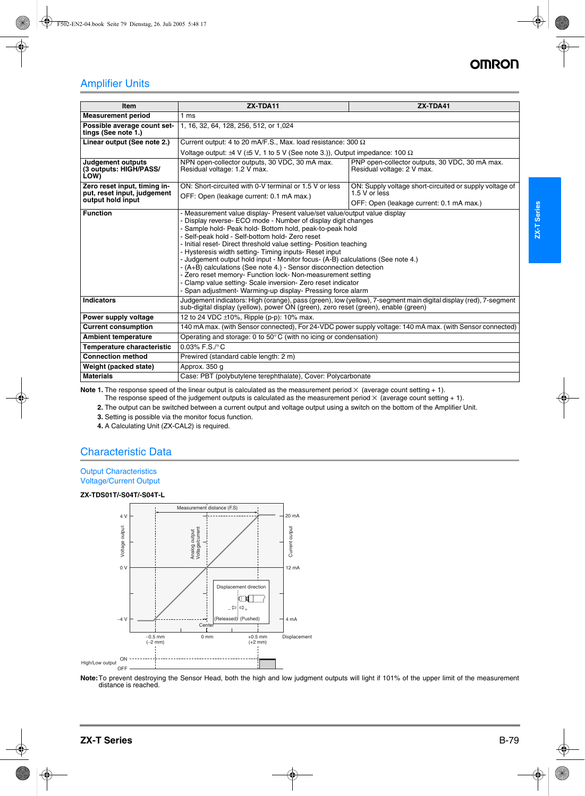### Amplifier Units

| Item                                                        | ZX-TDA11                                                                                                                                                                                                                                                                                                                                                                                                                                                                                                                                                                                                                                                                                                                                          | ZX-TDA41                                                                                                         |  |
|-------------------------------------------------------------|---------------------------------------------------------------------------------------------------------------------------------------------------------------------------------------------------------------------------------------------------------------------------------------------------------------------------------------------------------------------------------------------------------------------------------------------------------------------------------------------------------------------------------------------------------------------------------------------------------------------------------------------------------------------------------------------------------------------------------------------------|------------------------------------------------------------------------------------------------------------------|--|
| <b>Measurement period</b>                                   | 1 ms                                                                                                                                                                                                                                                                                                                                                                                                                                                                                                                                                                                                                                                                                                                                              |                                                                                                                  |  |
| Possible average count set-<br>tings (See note 1.)          | 1, 16, 32, 64, 128, 256, 512, or 1,024                                                                                                                                                                                                                                                                                                                                                                                                                                                                                                                                                                                                                                                                                                            |                                                                                                                  |  |
| Linear output (See note 2.)                                 | Current output: 4 to 20 mA/F.S., Max. load resistance: 300 $\Omega$                                                                                                                                                                                                                                                                                                                                                                                                                                                                                                                                                                                                                                                                               |                                                                                                                  |  |
|                                                             | Voltage output: $\pm 4$ V ( $\pm 5$ V, 1 to 5 V (See note 3.)), Output impedance: 100 $\Omega$                                                                                                                                                                                                                                                                                                                                                                                                                                                                                                                                                                                                                                                    |                                                                                                                  |  |
| Judgement outputs<br>(3 outputs: HIGH/PASS/<br>LOW)         | NPN open-collector outputs, 30 VDC, 30 mA max.<br>Residual voltage: 1.2 V max.                                                                                                                                                                                                                                                                                                                                                                                                                                                                                                                                                                                                                                                                    | PNP open-collector outputs, 30 VDC, 30 mA max.<br>Residual voltage: 2 V max.                                     |  |
| Zero reset input, timing in-<br>put, reset input, judgement | ON: Short-circuited with 0-V terminal or 1.5 V or less<br>OFF: Open (leakage current: 0.1 mA max.)                                                                                                                                                                                                                                                                                                                                                                                                                                                                                                                                                                                                                                                | ON: Supply voltage short-circuited or supply voltage of<br>1.5 V or less                                         |  |
| output hold input                                           |                                                                                                                                                                                                                                                                                                                                                                                                                                                                                                                                                                                                                                                                                                                                                   | OFF: Open (leakage current: 0.1 mA max.)                                                                         |  |
| <b>Function</b>                                             | - Measurement value display- Present value/set value/output value display<br>- Display reverse- ECO mode - Number of display digit changes<br>- Sample hold- Peak hold- Bottom hold, peak-to-peak hold<br>- Self-peak hold - Self-bottom hold- Zero reset<br>- Initial reset- Direct threshold value setting- Position teaching<br>- Hysteresis width setting- Timing inputs- Reset input<br>- Judgement output hold input - Monitor focus- (A-B) calculations (See note 4.)<br>- (A+B) calculations (See note 4.) - Sensor disconnection detection<br>- Zero reset memory- Function lock- Non-measurement setting<br>- Clamp value setting- Scale inversion- Zero reset indicator<br>- Span adjustment- Warming-up display- Pressing force alarm |                                                                                                                  |  |
| Indicators                                                  | sub-digital display (yellow), power ON (green), zero reset (green), enable (green)                                                                                                                                                                                                                                                                                                                                                                                                                                                                                                                                                                                                                                                                | Judgement indicators: High (orange), pass (green), low (yellow), 7-segment main digital display (red), 7-segment |  |
| Power supply voltage                                        | 12 to 24 VDC ±10%, Ripple (p-p): 10% max.                                                                                                                                                                                                                                                                                                                                                                                                                                                                                                                                                                                                                                                                                                         |                                                                                                                  |  |
| <b>Current consumption</b>                                  |                                                                                                                                                                                                                                                                                                                                                                                                                                                                                                                                                                                                                                                                                                                                                   | 140 mA max. (with Sensor connected), For 24-VDC power supply voltage: 140 mA max. (with Sensor connected)        |  |
| <b>Ambient temperature</b>                                  | Operating and storage: 0 to 50°C (with no icing or condensation)                                                                                                                                                                                                                                                                                                                                                                                                                                                                                                                                                                                                                                                                                  |                                                                                                                  |  |
| Temperature characteristic                                  | $0.03\%$ F.S./ $\degree$ C                                                                                                                                                                                                                                                                                                                                                                                                                                                                                                                                                                                                                                                                                                                        |                                                                                                                  |  |
| <b>Connection method</b>                                    | Prewired (standard cable length: 2 m)                                                                                                                                                                                                                                                                                                                                                                                                                                                                                                                                                                                                                                                                                                             |                                                                                                                  |  |
| Weight (packed state)                                       | Approx. 350 g                                                                                                                                                                                                                                                                                                                                                                                                                                                                                                                                                                                                                                                                                                                                     |                                                                                                                  |  |
| <b>Materials</b>                                            | Case: PBT (polybutylene terephthalate), Cover: Polycarbonate                                                                                                                                                                                                                                                                                                                                                                                                                                                                                                                                                                                                                                                                                      |                                                                                                                  |  |

Note 1. The response speed of the linear output is calculated as the measurement period  $\times$  (average count setting  $+$  1).

The response speed of the judgement outputs is calculated as the measurement period  $\times$  (average count setting + 1).

**2.** The output can be switched between a current output and voltage output using a switch on the bottom of the Amplifier Unit.

**3.** Setting is possible via the monitor focus function.

**4.** A Calculating Unit (ZX-CAL2) is required.

### Characteristic Data

#### Output Characteristics Voltage/Current Output

### **ZX-TDS01T/-S04T/-S04T-L**



**Note:**To prevent destroying the Sensor Head, both the high and low judgment outputs will light if 101% of the upper limit of the measurement distance is reached.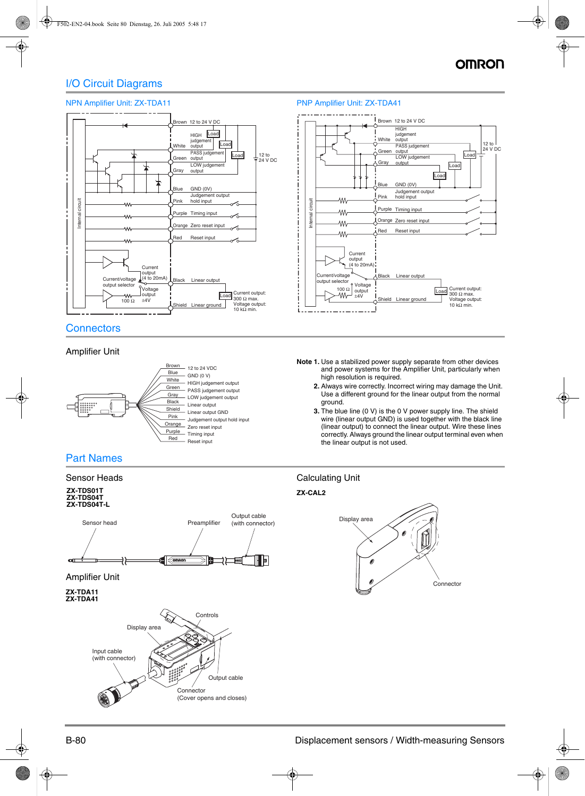### I/O Circuit Diagrams



### **Connectors**

### Amplifier Unit



 $-12$  to 24 VDC  $-$  GND (0 V) - HIGH judgement output Green<br>
PASS judgement output Gray LOW judgement output - Linear output Shield<br>
Linear output GND Orange Zero reset input Purple Timing input - Reset input Pink Judgement output hold input

### NPN Amplifier Unit: ZX-TDA11 PNP Amplifier Unit: ZX-TDA41



- **Note 1.** Use a stabilized power supply separate from other devices and power systems for the Amplifier Unit, particularly when high resolution is required.
	- **2.** Always wire correctly. Incorrect wiring may damage the Unit. Use a different ground for the linear output from the normal ground.
	- **3.** The blue line (0 V) is the 0 V power supply line. The shield wire (linear output GND) is used together with the black line (linear output) to connect the linear output. Wire these lines correctly. Always ground the linear output terminal even when the linear output is not used.

### Part Names

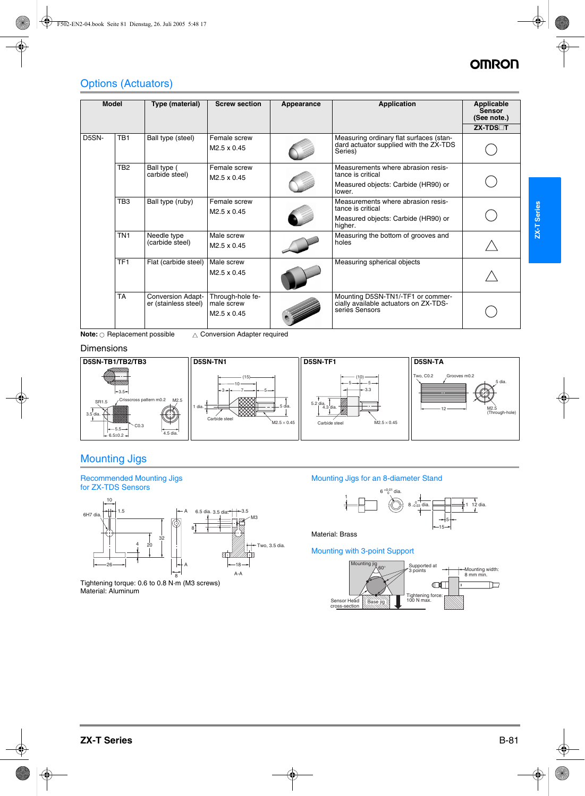# **OMRO**

## Options (Actuators)

| <b>Model</b> |                 | Type (material)                                  | <b>Screw section</b>               | Appearance | <b>Application</b>                                                                           | Applicable<br><b>Sensor</b><br>(See note.) |
|--------------|-----------------|--------------------------------------------------|------------------------------------|------------|----------------------------------------------------------------------------------------------|--------------------------------------------|
|              |                 |                                                  |                                    |            |                                                                                              | ZX-TDS□T                                   |
| D5SN-        | TB <sub>1</sub> | Ball type (steel)                                | Female screw<br>$M2.5 \times 0.45$ |            | Measuring ordinary flat surfaces (stan-<br>dard actuator supplied with the ZX-TDS<br>Series) |                                            |
|              | TB <sub>2</sub> | Ball type (<br>carbide steel)                    | Female screw<br>$M2.5 \times 0.45$ |            | Measurements where abrasion resis-<br>tance is critical                                      |                                            |
|              |                 |                                                  |                                    |            | Measured objects: Carbide (HR90) or<br>lower.                                                |                                            |
|              | TB <sub>3</sub> | Ball type (ruby)                                 | Female screw<br>$M2.5 \times 0.45$ |            | Measurements where abrasion resis-<br>tance is critical                                      |                                            |
|              |                 |                                                  |                                    |            | Measured objects: Carbide (HR90) or<br>higher.                                               |                                            |
|              | TN <sub>1</sub> | Needle type                                      | Male screw                         |            | Measuring the bottom of grooves and<br>holes                                                 |                                            |
|              |                 | (carbide steel)                                  | $M2.5 \times 0.45$                 |            |                                                                                              |                                            |
|              | TF <sub>1</sub> | Flat (carbide steel)                             | Male screw                         |            | Measuring spherical objects                                                                  |                                            |
|              |                 |                                                  | M2.5 x 0.45                        |            |                                                                                              |                                            |
|              | <b>TA</b>       | <b>Conversion Adapt-</b><br>er (stainless steel) | Through-hole fe-<br>male screw     |            | Mounting D5SN-TN1/-TF1 or commer-<br>cially available actuators on ZX-TDS-                   |                                            |
|              |                 |                                                  | M2.5 x 0.45                        |            | series Sensors                                                                               |                                            |

**Note: C** Replacement possible  $\qquad \triangle$  Conversion Adapter required

### Dimensions



### Mounting Jigs

Recommended Mounting Jigs



Tightening torque: 0.6 to 0.8 N·m (M3 screws) Material: Aluminum

### Mounting Jigs for an 8-diameter Stand



Material: Brass

### Mounting with 3-point Support

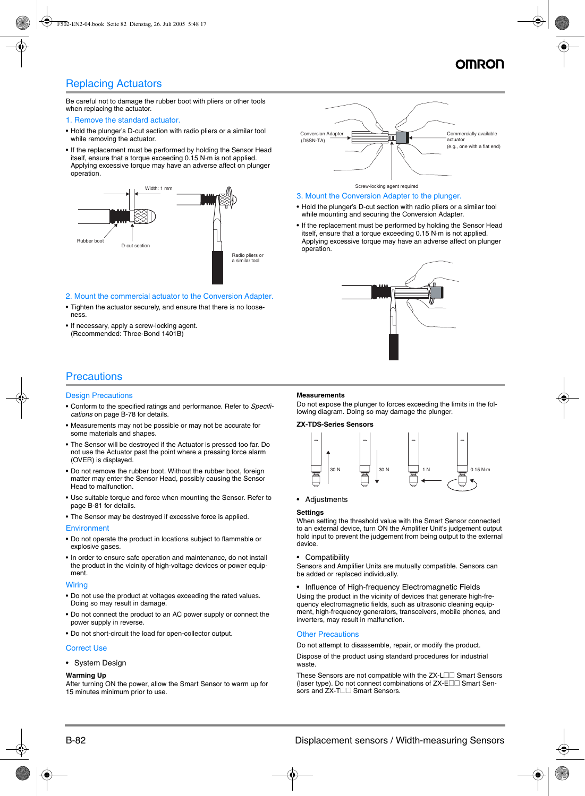### Replacing Actuators

Be careful not to damage the rubber boot with pliers or other tools when replacing the actuator.

### 1. Remove the standard actuator.

- **•** Hold the plunger's D-cut section with radio pliers or a similar tool while removing the actuator.
- **•** If the replacement must be performed by holding the Sensor Head itself, ensure that a torque exceeding 0.15 N·m is not applied. Applying excessive torque may have an adverse affect on plunger operation.



### 2. Mount the commercial actuator to the Conversion Adapter.

- **•** Tighten the actuator securely, and ensure that there is no looseness.
- **•** If necessary, apply a screw-locking agent. (Recommended: Three-Bond 1401B)



### 3. Mount the Conversion Adapter to the plunger.

- **•** Hold the plunger's D-cut section with radio pliers or a similar tool while mounting and securing the Conversion Adapter.
- **•** If the replacement must be performed by holding the Sensor Head itself, ensure that a torque exceeding 0.15 N·m is not applied. Applying excessive torque may have an adverse affect on plunger operation.



### **Precautions**

#### **Design Precautions**

- **•** Conform to the specified ratings and performance. Refer to *Specifications* on page B-78 for details.
- **•** Measurements may not be possible or may not be accurate for some materials and shapes.
- **•** The Sensor will be destroyed if the Actuator is pressed too far. Do not use the Actuator past the point where a pressing force alarm (OVER) is displayed.
- **•** Do not remove the rubber boot. Without the rubber boot, foreign matter may enter the Sensor Head, possibly causing the Sensor Head to malfunction.
- **•** Use suitable torque and force when mounting the Sensor. Refer to page B-81 for details.
- **•** The Sensor may be destroyed if excessive force is applied.

### **Environment**

- **•** Do not operate the product in locations subject to flammable or explosive gases.
- **•** In order to ensure safe operation and maintenance, do not install the product in the vicinity of high-voltage devices or power equipment.

### **Wiring**

- **•** Do not use the product at voltages exceeding the rated values. Doing so may result in damage.
- **•** Do not connect the product to an AC power supply or connect the power supply in reverse.
- **•** Do not short-circuit the load for open-collector output.

### Correct Use

• System Design

### **Warming Up**

After turning ON the power, allow the Smart Sensor to warm up for 15 minutes minimum prior to use.

### **Measurements**

Do not expose the plunger to forces exceeding the limits in the following diagram. Doing so may damage the plunger.

#### **ZX-TDS-Series Sensors**



• Adjustments

### **Settings**

When setting the threshold value with the Smart Sensor connected to an external device, turn ON the Amplifier Unit's judgement output hold input to prevent the judgement from being output to the external device.

**Compatibility** 

Sensors and Amplifier Units are mutually compatible. Sensors can be added or replaced individually.

• Influence of High-frequency Electromagnetic Fields Using the product in the vicinity of devices that generate high-frequency electromagnetic fields, such as ultrasonic cleaning equipment, high-frequency generators, transceivers, mobile phones, and inverters, may result in malfunction.

### **Other Precautions**

Do not attempt to disassemble, repair, or modify the product.

Dispose of the product using standard procedures for industrial waste.

These Sensors are not compatible with the ZX-L<sup>1</sup> Smart Sensors (laser type). Do not connect combinations of  $ZX$ - $E\square\square$  Smart Sensors and  $ZX-T\Box$  Smart Sensors.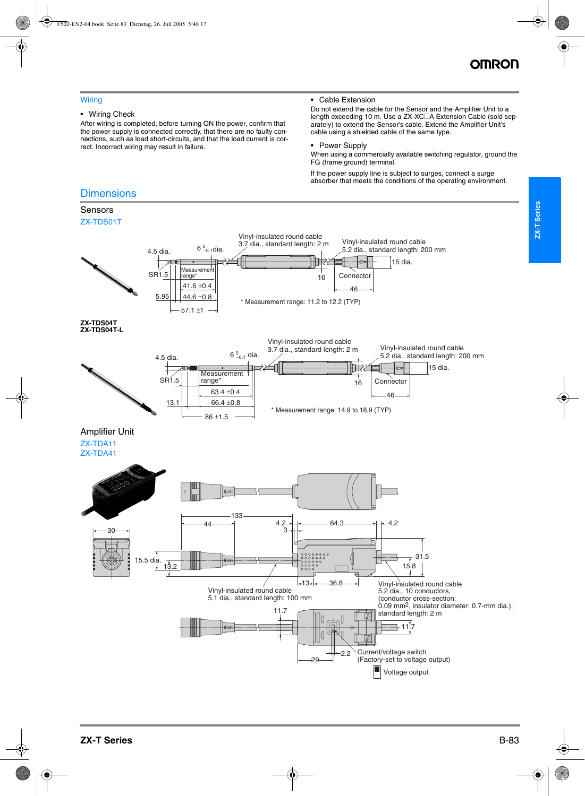### **Wiring**

### • Wiring Check

**Dimensions** 

After wiring is completed, before turning ON the power, confirm that the power supply is connected correctly, that there are no faulty connections, such as load short-circuits, and that the load current is correct. Incorrect wiring may result in failure.

#### • Cable Extension

Do not extend the cable for the Sensor and the Amplifier Unit to a length exceeding 10 m. Use a ZX-XC@A Extension Cable (sold separately) to extend the Sensor's cable. Extend the Amplifier Unit's cable using a shielded cable of the same type.

#### • Power Supply

When using a commercially available switching regulator, ground the FG (frame ground) terminal.

If the power supply line is subject to surges, connect a surge absorber that meets the conditions of the operating environment.

Sensors ZX-TDS01T Vinyl-insulated round cable Vinyl-insulated round cable 3.7 dia., standard length: 2 m 6  $^{\circ}$ <sub>−0.1</sub> dia. 5.2 dia., standard length: 200 mm 4.5 dia. 15 dia. Measureme SR<sub>1</sub> **Connector** range<sup>\*</sup> 16 41.6 ±0.4 46 5.95  $44.6 + 0.8$ \* Measurement range: 11.2 to 12.2 (TYP) 57.1 ±1 **ZX-TDS04T ZX-TDS04T-L** Vinyl-insulated round cable Vinyl-insulated round cable 3.7 dia., standard length: 2 m 6  $_{-0.1}^0$  dia 5.2 dia., standard length: 200 mm 4.5 dia. 15 dia. Measurement<br>range\* SR1.5 Connector 16 63.4 ±0.4 46 13.1 66.4 ±0.8 \* Measurement range: 14.9 to 18.9 (TYP) 86 ±1.5 Amplifier Unit ZX-TDA11 ZX-TDA41 anno 133 44  $4.2 \rightarrow +$  64.3 3 30  $\frac{1}{1}$  31.5 15.5 dia.  $\overline{2}$ 15.8 36.8 Vinyl-insulated round cable Vinyl-insulated round cable 5.2 dia., 10 conductors, 5.1 dia., standard length: 100 mm (conductor cross-section: 0.09 mm2, insulator diameter: 0.7-mm dia.), 11.7 standard length: 2 m  $\overline{4}$ .11 Current/voltage switch 2.2 (Factory-set to voltage output) 29 Voltage output